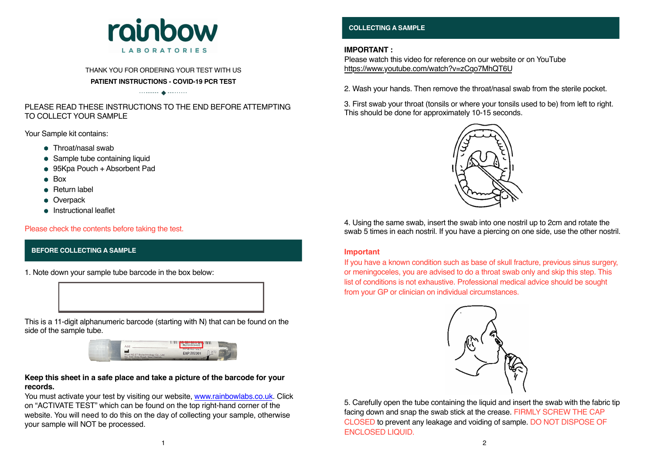#### **BEFORE COLLECTING A SAMPLE**



#### THANK YOU FOR ORDERING YOUR TEST WITH US **PATIENT INSTRUCTIONS - COVID-19 PCR TEST**

 $\begin{picture}(20,10) \put(0,0){\vector(1,0){10}} \put(0,0){\vector(1,0){10}} \put(0,0){\vector(1,0){10}} \put(0,0){\vector(1,0){10}} \put(0,0){\vector(1,0){10}} \put(0,0){\vector(1,0){10}} \put(0,0){\vector(1,0){10}} \put(0,0){\vector(1,0){10}} \put(0,0){\vector(1,0){10}} \put(0,0){\vector(1,0){10}} \put(0,0){\vector(1,0){10}} \put(0,0){\vector(1,0){10}} \put(0,$ 

- Throat/nasal swab
- Sample tube containing liquid
- 95Kpa Pouch + Absorbent Pad
- $Box$
- **•** Return label
- **Overpack**
- **•** Instructional leaflet

## PLEASE READ THESE INSTRUCTIONS TO THE END BEFORE ATTEMPTING TO COLLECT YOUR SAMPLE

Your Sample kit contains:

1. Note down your sample tube barcode in the box below:



### **Keep this sheet in a safe place and take a picture of the barcode for your records.**

You must activate your test by visiting our website, www.rainbowlabs.co.uk. Click on "ACTIVATE TEST" which can be found on the top right-hand corner of the website. You will need to do this on the day of collecting your sample, otherwise your sample will NOT be processed.

Please check the contents before taking the test.

#### **COLLECTING A SAMPLE**

#### **IMPORTANT :**

Please watch this video for reference on our website or on YouTube https://www.youtube.com/watch?v=zCqo7MhQT6U

2. Wash your hands. Then remove the throat/nasal swab from the sterile pocket.

3. First swab your throat (tonsils or where your tonsils used to be) from left to right. This should be done for approximately 10-15 seconds.



4. Using the same swab, insert the swab into one nostril up to 2cm and rotate the swab 5 times in each nostril. If you have a piercing on one side, use the other nostril.

5. Carefully open the tube containing the liquid and insert the swab with the fabric tip facing down and snap the swab stick at the crease. FIRMLY SCREW THE CAP CLOSED to prevent any leakage and voiding of sample. DO NOT DISPOSE OF ENCLOSED LIQUID.

If you have a known condition such as base of skull fracture, previous sinus surgery, or meningoceles, you are advised to do a throat swab only and skip this step. This list of conditions is not exhaustive. Professional medical advice should be sought from your GP or clinician on individual circumstances.



#### **Important**

This is a 11-digit alphanumeric barcode (starting with N) that can be found on the side of the sample tube.